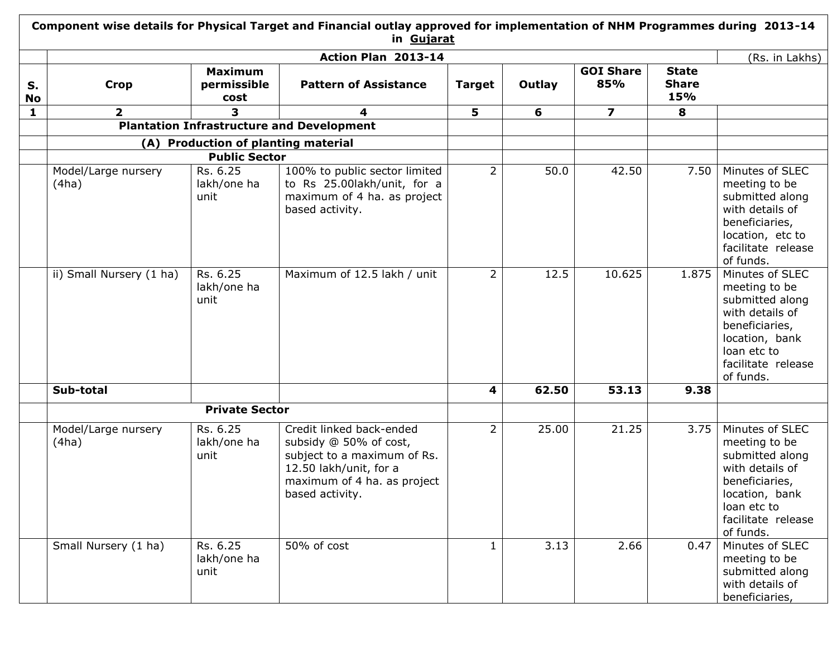|                 |                              |                                       | Action Plan 2013-14                                                                                                                                           |                |        |                         |                                     | (Rs. in Lakhs)                                                                                                                                               |
|-----------------|------------------------------|---------------------------------------|---------------------------------------------------------------------------------------------------------------------------------------------------------------|----------------|--------|-------------------------|-------------------------------------|--------------------------------------------------------------------------------------------------------------------------------------------------------------|
| S.<br><b>No</b> | <b>Crop</b>                  | <b>Maximum</b><br>permissible<br>cost | <b>Pattern of Assistance</b>                                                                                                                                  | <b>Target</b>  | Outlay | <b>GOI Share</b><br>85% | <b>State</b><br><b>Share</b><br>15% |                                                                                                                                                              |
| 1               | $\overline{2}$               | 3                                     | 4                                                                                                                                                             | 5              | 6      | $\overline{ }$          | 8                                   |                                                                                                                                                              |
|                 |                              |                                       | <b>Plantation Infrastructure and Development</b>                                                                                                              |                |        |                         |                                     |                                                                                                                                                              |
|                 |                              | (A) Production of planting material   |                                                                                                                                                               |                |        |                         |                                     |                                                                                                                                                              |
|                 |                              | <b>Public Sector</b>                  |                                                                                                                                                               |                |        |                         |                                     |                                                                                                                                                              |
|                 | Model/Large nursery<br>(4ha) | Rs. 6.25<br>lakh/one ha<br>unit       | 100% to public sector limited<br>to Rs 25.00lakh/unit, for a<br>maximum of 4 ha. as project<br>based activity.                                                | $\overline{2}$ | 50.0   | 42.50                   | 7.50                                | Minutes of SLEC<br>meeting to be<br>submitted along<br>with details of<br>beneficiaries,<br>location, etc to<br>facilitate release<br>of funds.              |
|                 | ii) Small Nursery (1 ha)     | Rs. 6.25<br>lakh/one ha<br>unit       | Maximum of 12.5 lakh / unit                                                                                                                                   | $\overline{2}$ | 12.5   | 10.625                  | 1.875                               | Minutes of SLEC<br>meeting to be<br>submitted along<br>with details of<br>beneficiaries,<br>location, bank<br>loan etc to<br>facilitate release<br>of funds. |
|                 | Sub-total                    |                                       |                                                                                                                                                               | 4              | 62.50  | 53.13                   | 9.38                                |                                                                                                                                                              |
|                 |                              | <b>Private Sector</b>                 |                                                                                                                                                               |                |        |                         |                                     |                                                                                                                                                              |
|                 | Model/Large nursery<br>(4ha) | Rs. 6.25<br>lakh/one ha<br>unit       | Credit linked back-ended<br>subsidy @ 50% of cost,<br>subject to a maximum of Rs.<br>12.50 lakh/unit, for a<br>maximum of 4 ha. as project<br>based activity. | $\overline{2}$ | 25.00  | 21.25                   | 3.75                                | Minutes of SLEC<br>meeting to be<br>submitted along<br>with details of<br>beneficiaries,<br>location, bank<br>loan etc to<br>facilitate release<br>of funds. |
|                 | Small Nursery (1 ha)         | Rs. 6.25<br>lakh/one ha<br>unit       | 50% of cost                                                                                                                                                   | 1              | 3.13   | 2.66                    | 0.47                                | Minutes of SLEC<br>meeting to be<br>submitted along<br>with details of<br>beneficiaries,                                                                     |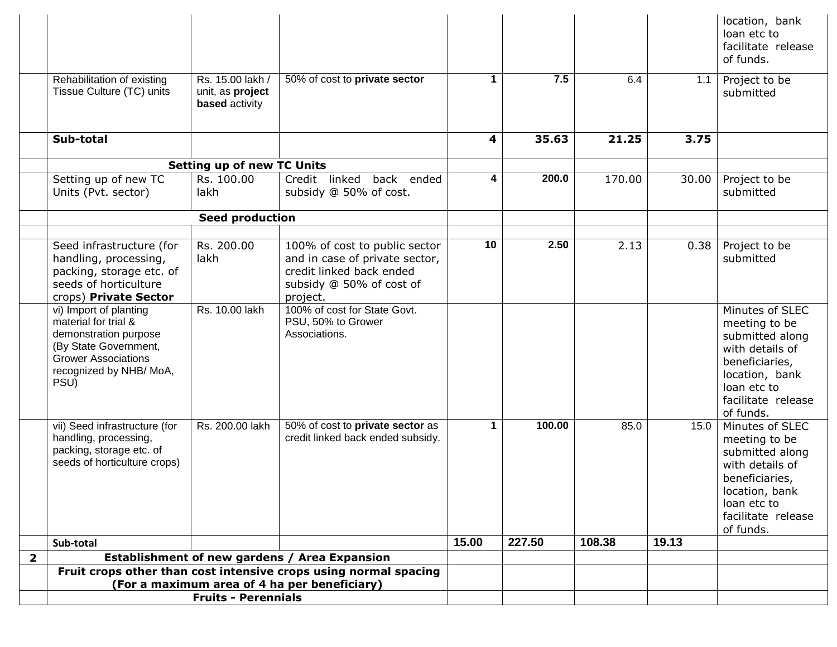|                         |                                                                                                                                                                  |                                                               |                                                                                                                                     |             |        |        |       | location, bank<br>loan etc to<br>facilitate release<br>of funds.                                                                                             |
|-------------------------|------------------------------------------------------------------------------------------------------------------------------------------------------------------|---------------------------------------------------------------|-------------------------------------------------------------------------------------------------------------------------------------|-------------|--------|--------|-------|--------------------------------------------------------------------------------------------------------------------------------------------------------------|
|                         | Rehabilitation of existing<br>Tissue Culture (TC) units                                                                                                          | Rs. 15.00 lakh /<br>unit, as project<br><b>based</b> activity | 50% of cost to private sector                                                                                                       | 1           | 7.5    | 6.4    | 1.1   | Project to be<br>submitted                                                                                                                                   |
|                         | Sub-total                                                                                                                                                        |                                                               |                                                                                                                                     | 4           | 35.63  | 21.25  | 3.75  |                                                                                                                                                              |
|                         |                                                                                                                                                                  | <b>Setting up of new TC Units</b>                             |                                                                                                                                     |             |        |        |       |                                                                                                                                                              |
|                         | Setting up of new TC<br>Units (Pvt. sector)                                                                                                                      | Rs. 100.00<br>lakh                                            | Credit linked back ended<br>subsidy @ 50% of cost.                                                                                  | 4           | 200.0  | 170.00 | 30.00 | Project to be<br>submitted                                                                                                                                   |
|                         |                                                                                                                                                                  | <b>Seed production</b>                                        |                                                                                                                                     |             |        |        |       |                                                                                                                                                              |
|                         | Seed infrastructure (for<br>handling, processing,<br>packing, storage etc. of<br>seeds of horticulture<br>crops) Private Sector                                  | Rs. 200.00<br>lakh                                            | 100% of cost to public sector<br>and in case of private sector,<br>credit linked back ended<br>subsidy @ 50% of cost of<br>project. | 10          | 2.50   | 2.13   | 0.38  | Project to be<br>submitted                                                                                                                                   |
|                         | vi) Import of planting<br>material for trial &<br>demonstration purpose<br>(By State Government,<br><b>Grower Associations</b><br>recognized by NHB/MoA,<br>PSU) | Rs. 10.00 lakh                                                | 100% of cost for State Govt.<br>PSU, 50% to Grower<br>Associations.                                                                 |             |        |        |       | Minutes of SLEC<br>meeting to be<br>submitted along<br>with details of<br>beneficiaries,<br>location, bank<br>loan etc to<br>facilitate release<br>of funds. |
|                         | vii) Seed infrastructure (for<br>handling, processing,<br>packing, storage etc. of<br>seeds of horticulture crops)                                               | Rs. 200.00 lakh                                               | 50% of cost to private sector as<br>credit linked back ended subsidy.                                                               | $\mathbf 1$ | 100.00 | 85.0   | 15.0  | Minutes of SLEC<br>meeting to be<br>submitted along<br>with details of<br>beneficiaries,<br>location, bank<br>loan etc to<br>facilitate release<br>of funds. |
|                         | Sub-total                                                                                                                                                        |                                                               |                                                                                                                                     | 15.00       | 227.50 | 108.38 | 19.13 |                                                                                                                                                              |
| $\overline{\mathbf{2}}$ |                                                                                                                                                                  |                                                               | Establishment of new gardens / Area Expansion                                                                                       |             |        |        |       |                                                                                                                                                              |
|                         |                                                                                                                                                                  |                                                               | Fruit crops other than cost intensive crops using normal spacing                                                                    |             |        |        |       |                                                                                                                                                              |
|                         |                                                                                                                                                                  | (For a maximum area of 4 ha per beneficiary)                  |                                                                                                                                     |             |        |        |       |                                                                                                                                                              |
|                         |                                                                                                                                                                  | <b>Fruits - Perennials</b>                                    |                                                                                                                                     |             |        |        |       |                                                                                                                                                              |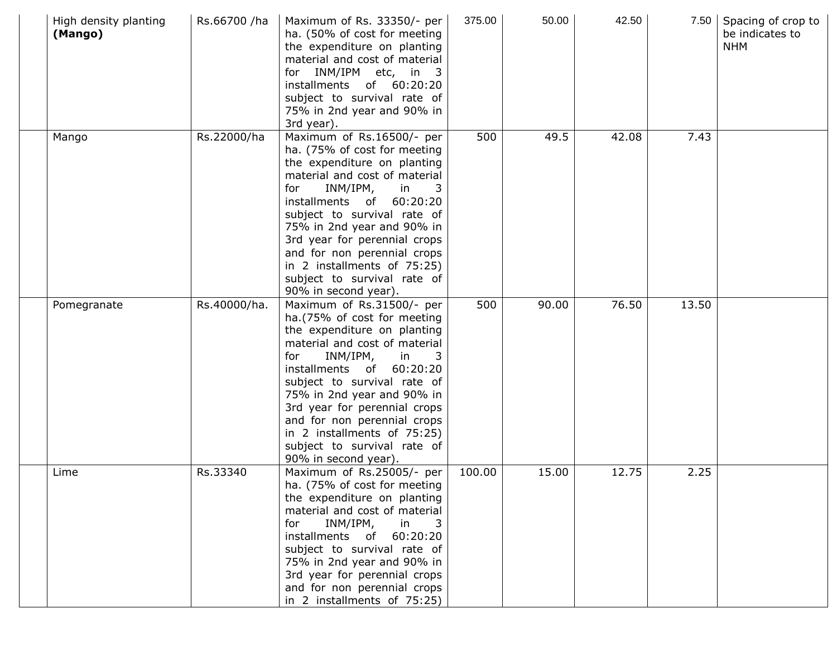| High density planting<br>(Mango) | Rs.66700 /ha | Maximum of Rs. 33350/- per<br>ha. (50% of cost for meeting<br>the expenditure on planting<br>material and cost of material<br>for INM/IPM etc, in 3<br>installments of 60:20:20<br>subject to survival rate of<br>75% in 2nd year and 90% in<br>3rd year).                                                                                                                                       | 375.00 | 50.00 | 42.50 |       | 7.50 Spacing of crop to<br>be indicates to<br><b>NHM</b> |
|----------------------------------|--------------|--------------------------------------------------------------------------------------------------------------------------------------------------------------------------------------------------------------------------------------------------------------------------------------------------------------------------------------------------------------------------------------------------|--------|-------|-------|-------|----------------------------------------------------------|
| Mango                            | Rs.22000/ha  | Maximum of Rs.16500/- per<br>ha. (75% of cost for meeting<br>the expenditure on planting<br>material and cost of material<br>INM/IPM,<br>in<br>for<br>installments of 60:20:20<br>subject to survival rate of<br>75% in 2nd year and 90% in<br>3rd year for perennial crops<br>and for non perennial crops<br>in 2 installments of 75:25)<br>subject to survival rate of<br>90% in second year). | 500    | 49.5  | 42.08 | 7.43  |                                                          |
| Pomegranate                      | Rs.40000/ha. | Maximum of Rs.31500/- per<br>ha.(75% of cost for meeting<br>the expenditure on planting<br>material and cost of material<br>for<br>INM/IPM, in<br>installments of 60:20:20<br>subject to survival rate of<br>75% in 2nd year and 90% in<br>3rd year for perennial crops<br>and for non perennial crops<br>in 2 installments of 75:25)<br>subject to survival rate of<br>90% in second year).     | 500    | 90.00 | 76.50 | 13.50 |                                                          |
| Lime                             | Rs.33340     | Maximum of Rs.25005/- per<br>ha. (75% of cost for meeting<br>the expenditure on planting<br>material and cost of material<br>INM/IPM,<br>in<br>for<br>- 3<br>installments of 60:20:20<br>subject to survival rate of<br>75% in 2nd year and 90% in<br>3rd year for perennial crops<br>and for non perennial crops<br>in 2 installments of 75:25)                                                 | 100.00 | 15.00 | 12.75 | 2.25  |                                                          |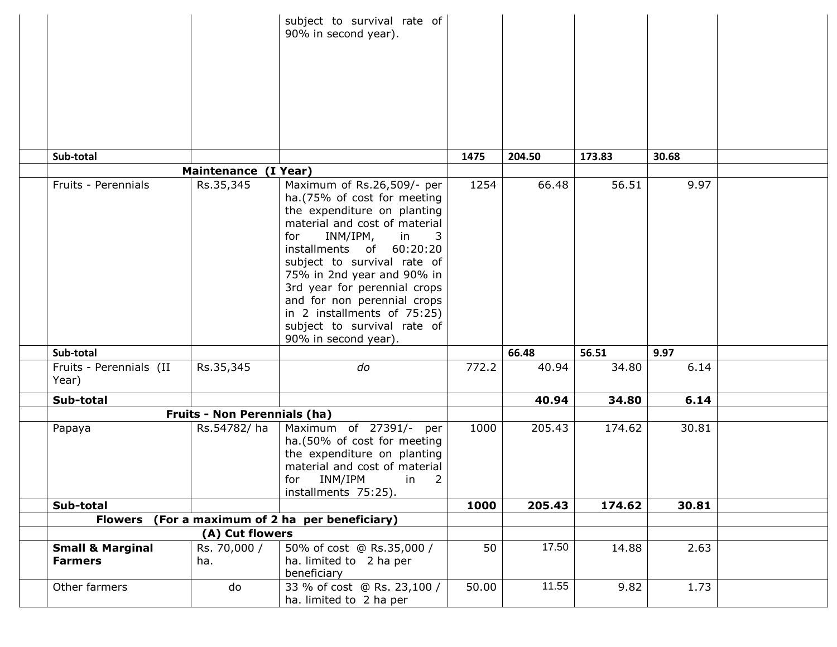|                                               |                                     | subject to survival rate of<br>90% in second year).                                                                                                                                                                                                                                                                                                                                                   |                    |        |        |       |  |
|-----------------------------------------------|-------------------------------------|-------------------------------------------------------------------------------------------------------------------------------------------------------------------------------------------------------------------------------------------------------------------------------------------------------------------------------------------------------------------------------------------------------|--------------------|--------|--------|-------|--|
| Sub-total                                     |                                     |                                                                                                                                                                                                                                                                                                                                                                                                       | 1475               | 204.50 | 173.83 | 30.68 |  |
|                                               | Maintenance (I Year)                |                                                                                                                                                                                                                                                                                                                                                                                                       |                    |        |        |       |  |
| Fruits - Perennials                           | Rs.35,345                           | Maximum of Rs.26,509/- per<br>ha.(75% of cost for meeting<br>the expenditure on planting<br>material and cost of material<br>INM/IPM,<br>for<br>in<br>3<br>installments of 60:20:20<br>subject to survival rate of<br>75% in 2nd year and 90% in<br>3rd year for perennial crops<br>and for non perennial crops<br>in 2 installments of 75:25)<br>subject to survival rate of<br>90% in second year). | 1254               | 66.48  | 56.51  | 9.97  |  |
| Sub-total                                     |                                     |                                                                                                                                                                                                                                                                                                                                                                                                       |                    | 66.48  | 56.51  | 9.97  |  |
| Fruits - Perennials (II<br>Year)              | Rs.35,345                           | do                                                                                                                                                                                                                                                                                                                                                                                                    | 772.2              | 40.94  | 34.80  | 6.14  |  |
| Sub-total                                     |                                     |                                                                                                                                                                                                                                                                                                                                                                                                       |                    | 40.94  | 34.80  | 6.14  |  |
|                                               | <b>Fruits - Non Perennials (ha)</b> |                                                                                                                                                                                                                                                                                                                                                                                                       |                    |        |        |       |  |
| Papaya                                        | Rs.54782/ha                         | Maximum of 27391/- per<br>ha.(50% of cost for meeting<br>the expenditure on planting<br>material and cost of material<br>INM/IPM<br>$\overline{2}$<br>for<br>in<br>installments 75:25).                                                                                                                                                                                                               | 1000               | 205.43 | 174.62 | 30.81 |  |
| Sub-total                                     |                                     |                                                                                                                                                                                                                                                                                                                                                                                                       | 1000               | 205.43 | 174.62 | 30.81 |  |
| <b>Flowers</b>                                |                                     | (For a maximum of 2 ha per beneficiary)                                                                                                                                                                                                                                                                                                                                                               |                    |        |        |       |  |
|                                               | (A) Cut flowers                     |                                                                                                                                                                                                                                                                                                                                                                                                       |                    |        |        |       |  |
| <b>Small &amp; Marginal</b><br><b>Farmers</b> | Rs. 70,000 /<br>ha.                 | 50% of cost @ Rs.35,000 /<br>ha. limited to 2 ha per<br>beneficiary                                                                                                                                                                                                                                                                                                                                   | 50                 | 17.50  | 14.88  | 2.63  |  |
| Other farmers                                 | do                                  | 33 % of cost @ Rs. 23,100 /<br>ha. limited to 2 ha per                                                                                                                                                                                                                                                                                                                                                | $\overline{50.00}$ | 11.55  | 9.82   | 1.73  |  |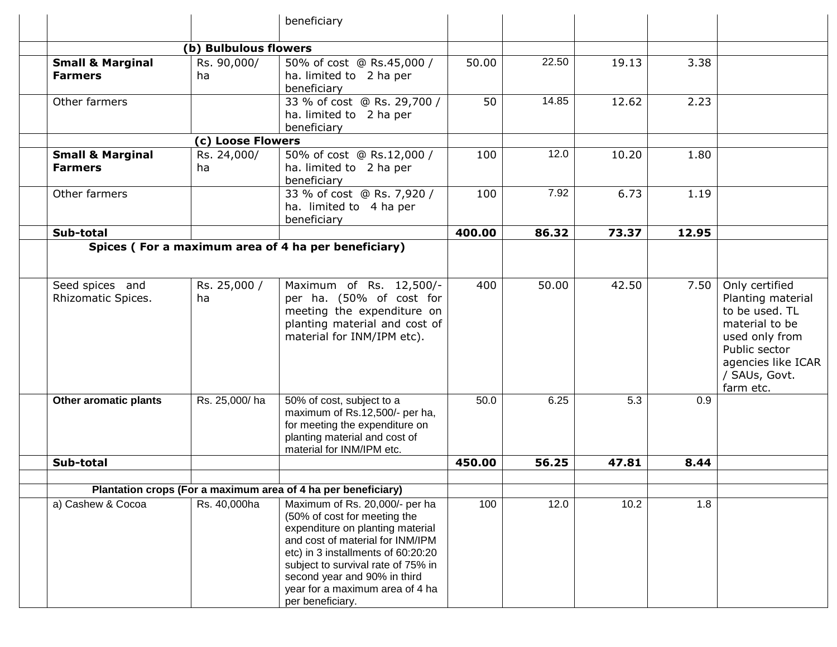|                                               |                       | beneficiary                                                                                                                                                                                                                                                                                               |        |       |       |       |                                                                                                                                                                |
|-----------------------------------------------|-----------------------|-----------------------------------------------------------------------------------------------------------------------------------------------------------------------------------------------------------------------------------------------------------------------------------------------------------|--------|-------|-------|-------|----------------------------------------------------------------------------------------------------------------------------------------------------------------|
|                                               | (b) Bulbulous flowers |                                                                                                                                                                                                                                                                                                           |        |       |       |       |                                                                                                                                                                |
| <b>Small &amp; Marginal</b><br><b>Farmers</b> | Rs. 90,000/<br>ha     | 50% of cost @ Rs.45,000 /<br>ha. limited to 2 ha per<br>beneficiary                                                                                                                                                                                                                                       | 50.00  | 22.50 | 19.13 | 3.38  |                                                                                                                                                                |
| Other farmers                                 |                       | 33 % of cost @ Rs. 29,700 /<br>ha. limited to 2 ha per<br>beneficiary                                                                                                                                                                                                                                     | 50     | 14.85 | 12.62 | 2.23  |                                                                                                                                                                |
|                                               | (c) Loose Flowers     |                                                                                                                                                                                                                                                                                                           |        |       |       |       |                                                                                                                                                                |
| <b>Small &amp; Marginal</b><br><b>Farmers</b> | Rs. 24,000/<br>ha     | 50% of cost @ Rs.12,000 /<br>ha. limited to 2 ha per<br>beneficiary                                                                                                                                                                                                                                       | 100    | 12.0  | 10.20 | 1.80  |                                                                                                                                                                |
| Other farmers                                 |                       | 33 % of cost @ Rs. 7,920 /<br>ha. limited to 4 ha per<br>beneficiary                                                                                                                                                                                                                                      | 100    | 7.92  | 6.73  | 1.19  |                                                                                                                                                                |
| Sub-total                                     |                       |                                                                                                                                                                                                                                                                                                           | 400.00 | 86.32 | 73.37 | 12.95 |                                                                                                                                                                |
|                                               |                       | Spices (For a maximum area of 4 ha per beneficiary)                                                                                                                                                                                                                                                       |        |       |       |       |                                                                                                                                                                |
| Seed spices and<br>Rhizomatic Spices.         | Rs. 25,000 /<br>ha    | Maximum of Rs. 12,500/-<br>per ha. (50% of cost for<br>meeting the expenditure on<br>planting material and cost of<br>material for INM/IPM etc).                                                                                                                                                          | 400    | 50.00 | 42.50 | 7.50  | Only certified<br>Planting material<br>to be used. TL<br>material to be<br>used only from<br>Public sector<br>agencies like ICAR<br>/ SAUs, Govt.<br>farm etc. |
| Other aromatic plants                         | Rs. 25,000/ha         | 50% of cost, subject to a<br>maximum of Rs.12,500/- per ha,<br>for meeting the expenditure on<br>planting material and cost of<br>material for INM/IPM etc.                                                                                                                                               | 50.0   | 6.25  | 5.3   | 0.9   |                                                                                                                                                                |
| Sub-total                                     |                       |                                                                                                                                                                                                                                                                                                           | 450.00 | 56.25 | 47.81 | 8.44  |                                                                                                                                                                |
|                                               |                       |                                                                                                                                                                                                                                                                                                           |        |       |       |       |                                                                                                                                                                |
|                                               |                       | Plantation crops (For a maximum area of 4 ha per beneficiary)                                                                                                                                                                                                                                             |        |       |       |       |                                                                                                                                                                |
| a) Cashew & Cocoa                             | Rs. 40,000ha          | Maximum of Rs. 20,000/- per ha<br>(50% of cost for meeting the<br>expenditure on planting material<br>and cost of material for INM/IPM<br>etc) in 3 installments of 60:20:20<br>subject to survival rate of 75% in<br>second year and 90% in third<br>year for a maximum area of 4 ha<br>per beneficiary. | 100    | 12.0  | 10.2  | 1.8   |                                                                                                                                                                |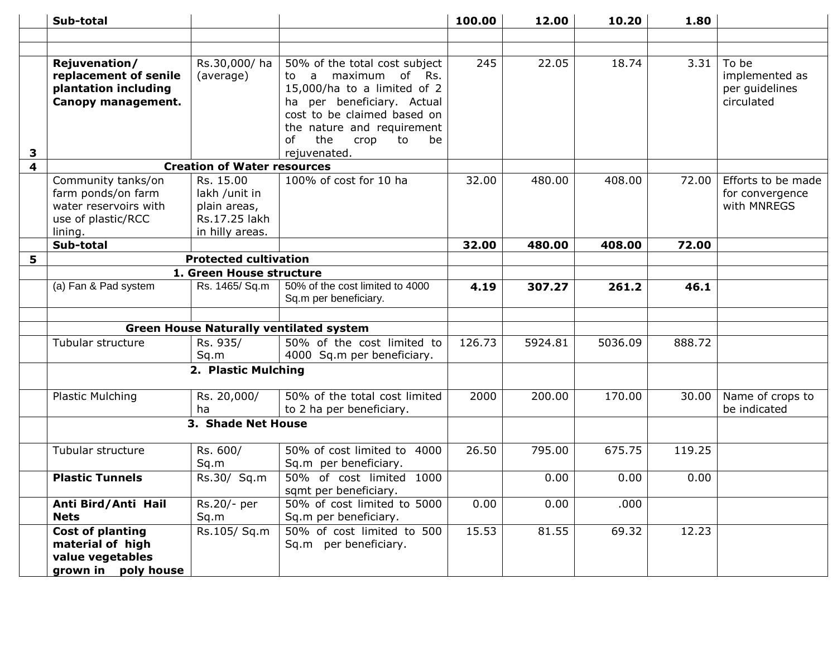|   | Sub-total                                                                                          |                                                                                |                                                                                                                                                                                                                                                        | 100.00 | 12.00   | 10.20   | 1.80   |                                                         |
|---|----------------------------------------------------------------------------------------------------|--------------------------------------------------------------------------------|--------------------------------------------------------------------------------------------------------------------------------------------------------------------------------------------------------------------------------------------------------|--------|---------|---------|--------|---------------------------------------------------------|
|   |                                                                                                    |                                                                                |                                                                                                                                                                                                                                                        |        |         |         |        |                                                         |
|   |                                                                                                    |                                                                                |                                                                                                                                                                                                                                                        |        |         |         |        |                                                         |
| 3 | Rejuvenation/<br>replacement of senile<br>plantation including<br>Canopy management.               | Rs.30,000/ha<br>(average)                                                      | 50% of the total cost subject<br>maximum<br>of Rs.<br>$\mathsf{a}$<br>to<br>15,000/ha to a limited of 2<br>per beneficiary. Actual<br>ha<br>cost to be claimed based on<br>the nature and requirement<br>the<br>of<br>crop<br>to<br>be<br>rejuvenated. | 245    | 22.05   | 18.74   | 3.31   | To be<br>implemented as<br>per guidelines<br>circulated |
| 4 |                                                                                                    | <b>Creation of Water resources</b>                                             |                                                                                                                                                                                                                                                        |        |         |         |        |                                                         |
|   | Community tanks/on<br>farm ponds/on farm<br>water reservoirs with<br>use of plastic/RCC<br>lining. | Rs. 15.00<br>lakh /unit in<br>plain areas,<br>Rs.17.25 lakh<br>in hilly areas. | 100% of cost for 10 ha                                                                                                                                                                                                                                 | 32.00  | 480.00  | 408.00  | 72.00  | Efforts to be made<br>for convergence<br>with MNREGS    |
|   | Sub-total                                                                                          |                                                                                |                                                                                                                                                                                                                                                        | 32.00  | 480.00  | 408.00  | 72.00  |                                                         |
| 5 |                                                                                                    | <b>Protected cultivation</b>                                                   |                                                                                                                                                                                                                                                        |        |         |         |        |                                                         |
|   |                                                                                                    | 1. Green House structure                                                       |                                                                                                                                                                                                                                                        |        |         |         |        |                                                         |
|   | (a) Fan & Pad system                                                                               | Rs. 1465/ Sq.m                                                                 | 50% of the cost limited to 4000<br>Sq.m per beneficiary.                                                                                                                                                                                               | 4.19   | 307.27  | 261.2   | 46.1   |                                                         |
|   |                                                                                                    |                                                                                |                                                                                                                                                                                                                                                        |        |         |         |        |                                                         |
|   |                                                                                                    |                                                                                | <b>Green House Naturally ventilated system</b>                                                                                                                                                                                                         |        |         |         |        |                                                         |
|   | Tubular structure                                                                                  | Rs. 935/<br>Sq.m                                                               | 50% of the cost limited to<br>4000 Sq.m per beneficiary.                                                                                                                                                                                               | 126.73 | 5924.81 | 5036.09 | 888.72 |                                                         |
|   |                                                                                                    | 2. Plastic Mulching                                                            |                                                                                                                                                                                                                                                        |        |         |         |        |                                                         |
|   | <b>Plastic Mulching</b>                                                                            | Rs. 20,000/<br>ha                                                              | 50% of the total cost limited<br>to 2 ha per beneficiary.                                                                                                                                                                                              | 2000   | 200.00  | 170.00  | 30.00  | Name of crops to<br>be indicated                        |
|   |                                                                                                    | 3. Shade Net House                                                             |                                                                                                                                                                                                                                                        |        |         |         |        |                                                         |
|   | Tubular structure                                                                                  | Rs. 600/<br>Sq.m                                                               | 50% of cost limited to 4000<br>Sq.m per beneficiary.                                                                                                                                                                                                   | 26.50  | 795.00  | 675.75  | 119.25 |                                                         |
|   | <b>Plastic Tunnels</b>                                                                             | Rs.30/ Sq.m                                                                    | 50% of cost limited 1000<br>sqmt per beneficiary.                                                                                                                                                                                                      |        | 0.00    | 0.00    | 0.00   |                                                         |
|   | Anti Bird/Anti Hail<br><b>Nets</b>                                                                 | Rs.20/- per<br>Sq.m                                                            | 50% of cost limited to 5000<br>Sq.m per beneficiary.                                                                                                                                                                                                   | 0.00   | 0.00    | .000    |        |                                                         |
|   | <b>Cost of planting</b><br>material of high<br>value vegetables<br>grown in poly house             | Rs.105/ Sq.m                                                                   | 50% of cost limited to 500<br>Sq.m per beneficiary.                                                                                                                                                                                                    | 15.53  | 81.55   | 69.32   | 12.23  |                                                         |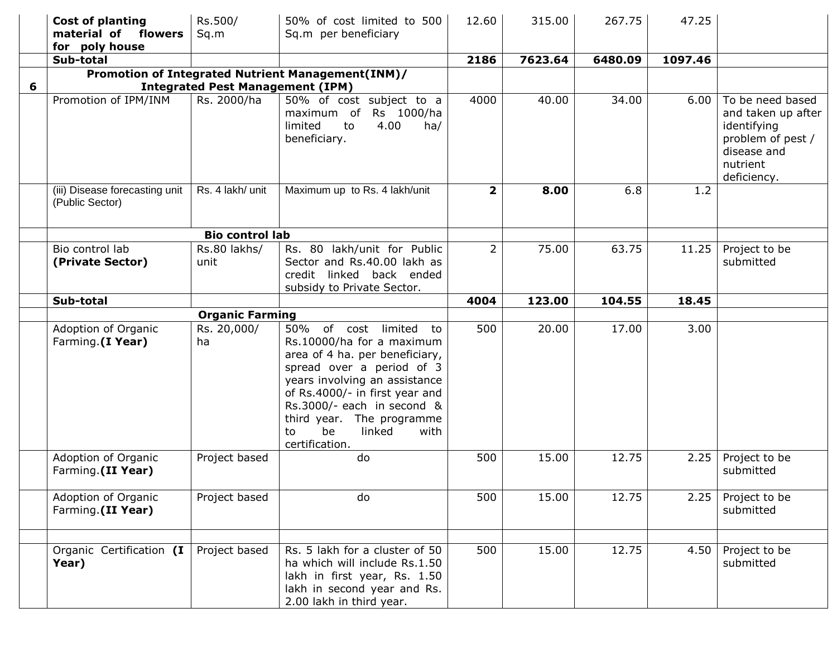|   | <b>Cost of planting</b><br>material of flowers<br>for poly house | Rs.500/<br>Sq.m                         | 50% of cost limited to 500<br>Sq.m per beneficiary                                                                                                                                                                                                                                               | 12.60          | 315.00  | 267.75  | 47.25   |                                                                                                                      |
|---|------------------------------------------------------------------|-----------------------------------------|--------------------------------------------------------------------------------------------------------------------------------------------------------------------------------------------------------------------------------------------------------------------------------------------------|----------------|---------|---------|---------|----------------------------------------------------------------------------------------------------------------------|
|   | Sub-total                                                        |                                         |                                                                                                                                                                                                                                                                                                  | 2186           | 7623.64 | 6480.09 | 1097.46 |                                                                                                                      |
| 6 |                                                                  | <b>Integrated Pest Management (IPM)</b> | Promotion of Integrated Nutrient Management(INM)/                                                                                                                                                                                                                                                |                |         |         |         |                                                                                                                      |
|   | Promotion of IPM/INM                                             | Rs. 2000/ha                             | 50% of cost subject to a<br>Rs 1000/ha<br>maximum of<br>limited<br>4.00<br>to<br>ha/<br>beneficiary.                                                                                                                                                                                             | 4000           | 40.00   | 34.00   | 6.00    | To be need based<br>and taken up after<br>identifying<br>problem of pest /<br>disease and<br>nutrient<br>deficiency. |
|   | (iii) Disease forecasting unit<br>(Public Sector)                | Rs. 4 lakh/ unit                        | Maximum up to Rs. 4 lakh/unit                                                                                                                                                                                                                                                                    | $\mathbf{2}$   | 8.00    | 6.8     | 1.2     |                                                                                                                      |
|   |                                                                  | <b>Bio control lab</b>                  |                                                                                                                                                                                                                                                                                                  |                |         |         |         |                                                                                                                      |
|   | Bio control lab<br>(Private Sector)                              | Rs.80 lakhs/<br>unit                    | Rs. 80 lakh/unit for Public<br>Sector and Rs.40.00 lakh as<br>credit linked back ended<br>subsidy to Private Sector.                                                                                                                                                                             | $\overline{2}$ | 75.00   | 63.75   | 11.25   | Project to be<br>submitted                                                                                           |
|   | Sub-total                                                        |                                         |                                                                                                                                                                                                                                                                                                  | 4004           | 123.00  | 104.55  | 18.45   |                                                                                                                      |
|   |                                                                  | <b>Organic Farming</b>                  |                                                                                                                                                                                                                                                                                                  |                |         |         |         |                                                                                                                      |
|   | Adoption of Organic<br>Farming.(I Year)                          | Rs. 20,000/<br>ha                       | 50% of cost limited to<br>Rs.10000/ha for a maximum<br>area of 4 ha. per beneficiary,<br>spread over a period of 3<br>years involving an assistance<br>of Rs.4000/- in first year and<br>Rs.3000/- each in second &<br>third year. The programme<br>linked<br>be<br>with<br>to<br>certification. | 500            | 20.00   | 17.00   | 3.00    |                                                                                                                      |
|   | Adoption of Organic<br>Farming.(II Year)                         | Project based                           | do                                                                                                                                                                                                                                                                                               | 500            | 15.00   | 12.75   | 2.25    | Project to be<br>submitted                                                                                           |
|   | Adoption of Organic<br>Farming.(II Year)                         | Project based                           | do                                                                                                                                                                                                                                                                                               | 500            | 15.00   | 12.75   | 2.25    | Project to be<br>submitted                                                                                           |
|   | Organic Certification (I<br>Year)                                | Project based                           | Rs. 5 lakh for a cluster of 50<br>ha which will include Rs.1.50<br>lakh in first year, Rs. 1.50<br>lakh in second year and Rs.<br>2.00 lakh in third year.                                                                                                                                       | 500            | 15.00   | 12.75   | 4.50    | Project to be<br>submitted                                                                                           |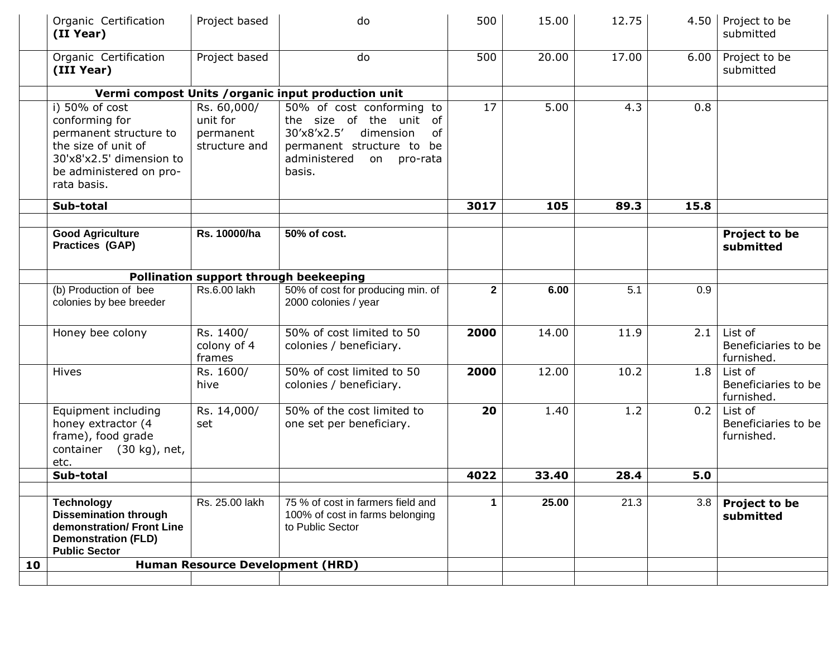|    | Organic Certification<br>(II Year)                                                                                                                      | Project based                                           | do                                                                                                                                                           | 500          | 15.00 | 12.75 |      | 4.50   Project to be<br>submitted            |
|----|---------------------------------------------------------------------------------------------------------------------------------------------------------|---------------------------------------------------------|--------------------------------------------------------------------------------------------------------------------------------------------------------------|--------------|-------|-------|------|----------------------------------------------|
|    | Organic Certification<br>(III Year)                                                                                                                     | Project based                                           | do                                                                                                                                                           | 500          | 20.00 | 17.00 | 6.00 | Project to be<br>submitted                   |
|    |                                                                                                                                                         |                                                         | Vermi compost Units / organic input production unit                                                                                                          |              |       |       |      |                                              |
|    | i) 50% of cost<br>conforming for<br>permanent structure to<br>the size of unit of<br>30'x8'x2.5' dimension to<br>be administered on pro-<br>rata basis. | Rs. 60,000/<br>unit for<br>permanent<br>structure and   | 50% of cost conforming to<br>the size of the unit of<br>30'x8'x2.5'<br>dimension<br>of<br>permanent structure to be<br>administered<br>on pro-rata<br>basis. | 17           | 5.00  | 4.3   | 0.8  |                                              |
|    | Sub-total                                                                                                                                               |                                                         |                                                                                                                                                              | 3017         | 105   | 89.3  | 15.8 |                                              |
|    | <b>Good Agriculture</b><br><b>Practices (GAP)</b>                                                                                                       | Rs. 10000/ha                                            | 50% of cost.                                                                                                                                                 |              |       |       |      | Project to be<br>submitted                   |
|    |                                                                                                                                                         |                                                         | Pollination support through beekeeping                                                                                                                       |              |       |       |      |                                              |
|    | (b) Production of bee<br>colonies by bee breeder                                                                                                        | Rs.6.00 lakh                                            | 50% of cost for producing min. of<br>2000 colonies / year                                                                                                    | $\mathbf{2}$ | 6.00  | 5.1   | 0.9  |                                              |
|    | Honey bee colony                                                                                                                                        | $\overline{\text{Rs}}$ . 1400/<br>colony of 4<br>frames | 50% of cost limited to 50<br>colonies / beneficiary.                                                                                                         | 2000         | 14.00 | 11.9  | 2.1  | List of<br>Beneficiaries to be<br>furnished. |
|    | <b>Hives</b>                                                                                                                                            | Rs. 1600/<br>hive                                       | 50% of cost limited to 50<br>colonies / beneficiary.                                                                                                         | 2000         | 12.00 | 10.2  | 1.8  | List of<br>Beneficiaries to be<br>furnished. |
|    | Equipment including<br>honey extractor (4<br>frame), food grade<br>container (30 kg), net,<br>etc.                                                      | Rs. 14,000/<br>set                                      | 50% of the cost limited to<br>one set per beneficiary.                                                                                                       | 20           | 1.40  | 1.2   | 0.2  | List of<br>Beneficiaries to be<br>furnished. |
|    | Sub-total                                                                                                                                               |                                                         |                                                                                                                                                              | 4022         | 33.40 | 28.4  | 5.0  |                                              |
|    | <b>Technology</b><br><b>Dissemination through</b><br>demonstration/ Front Line<br><b>Demonstration (FLD)</b><br><b>Public Sector</b>                    | Rs. 25.00 lakh                                          | 75 % of cost in farmers field and<br>100% of cost in farms belonging<br>to Public Sector                                                                     | $\mathbf{1}$ | 25.00 | 21.3  | 3.8  | <b>Project to be</b><br>submitted            |
| 10 |                                                                                                                                                         | <b>Human Resource Development (HRD)</b>                 |                                                                                                                                                              |              |       |       |      |                                              |
|    |                                                                                                                                                         |                                                         |                                                                                                                                                              |              |       |       |      |                                              |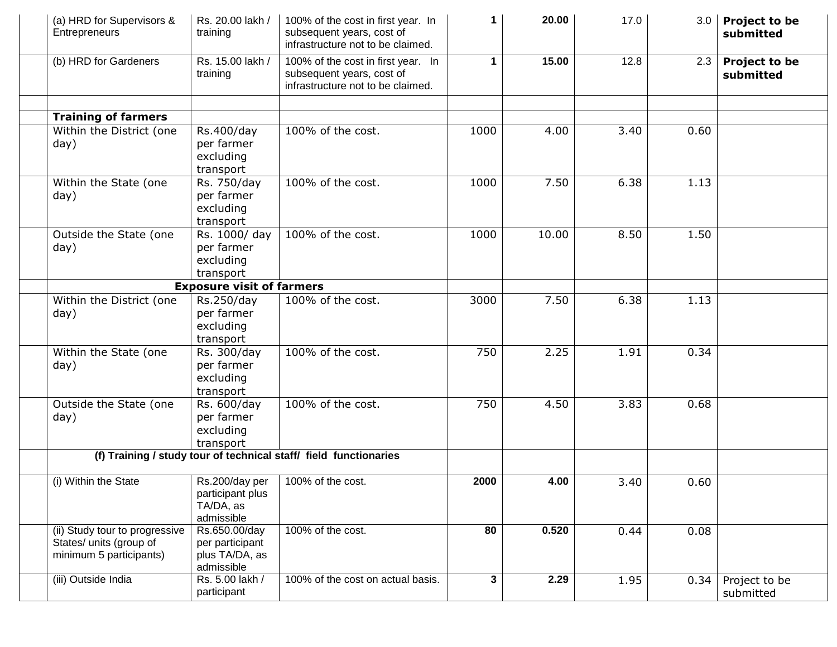| (a) HRD for Supervisors &<br>Entrepreneurs                                           | Rs. 20.00 lakh /<br>training                                     | 100% of the cost in first year. In<br>subsequent years, cost of<br>infrastructure not to be claimed. | 1.   | 20.00 | 17.0 | 3.0  | Project to be<br>submitted |
|--------------------------------------------------------------------------------------|------------------------------------------------------------------|------------------------------------------------------------------------------------------------------|------|-------|------|------|----------------------------|
| (b) HRD for Gardeners                                                                | Rs. 15.00 lakh /<br>training                                     | 100% of the cost in first year. In<br>subsequent years, cost of<br>infrastructure not to be claimed. | 1    | 15.00 | 12.8 | 2.3  | Project to be<br>submitted |
| <b>Training of farmers</b>                                                           |                                                                  |                                                                                                      |      |       |      |      |                            |
| Within the District (one                                                             | Rs.400/day                                                       | 100% of the cost.                                                                                    | 1000 | 4.00  | 3.40 | 0.60 |                            |
| day)                                                                                 | per farmer<br>excluding<br>transport                             |                                                                                                      |      |       |      |      |                            |
| Within the State (one                                                                | Rs. 750/day                                                      | 100% of the cost.                                                                                    | 1000 | 7.50  | 6.38 | 1.13 |                            |
| day)                                                                                 | per farmer<br>excluding<br>transport                             |                                                                                                      |      |       |      |      |                            |
| Outside the State (one                                                               | Rs. 1000/ day                                                    | 100% of the cost.                                                                                    | 1000 | 10.00 | 8.50 | 1.50 |                            |
| day)                                                                                 | per farmer<br>excluding<br>transport                             |                                                                                                      |      |       |      |      |                            |
|                                                                                      | <b>Exposure visit of farmers</b>                                 |                                                                                                      |      |       |      |      |                            |
| Within the District (one                                                             | Rs.250/day                                                       | 100% of the cost.                                                                                    | 3000 | 7.50  | 6.38 | 1.13 |                            |
| day)                                                                                 | per farmer<br>excluding<br>transport                             |                                                                                                      |      |       |      |      |                            |
| Within the State (one                                                                | Rs. 300/day                                                      | 100% of the cost.                                                                                    | 750  | 2.25  | 1.91 | 0.34 |                            |
| day)                                                                                 | per farmer<br>excluding<br>transport                             |                                                                                                      |      |       |      |      |                            |
| Outside the State (one                                                               | Rs. 600/day                                                      | 100% of the cost.                                                                                    | 750  | 4.50  | 3.83 | 0.68 |                            |
| day)                                                                                 | per farmer                                                       |                                                                                                      |      |       |      |      |                            |
|                                                                                      | excluding                                                        |                                                                                                      |      |       |      |      |                            |
|                                                                                      | transport                                                        |                                                                                                      |      |       |      |      |                            |
|                                                                                      |                                                                  | (f) Training / study tour of technical staff/ field functionaries                                    |      |       |      |      |                            |
| (i) Within the State                                                                 | Rs.200/day per<br>participant plus<br>TA/DA, as<br>admissible    | 100% of the cost.                                                                                    | 2000 | 4.00  | 3.40 | 0.60 |                            |
| (ii) Study tour to progressive<br>States/ units (group of<br>minimum 5 participants) | Rs.650.00/day<br>per participant<br>plus TA/DA, as<br>admissible | 100% of the cost.                                                                                    | 80   | 0.520 | 0.44 | 0.08 |                            |
| (iii) Outside India                                                                  | Rs. 5.00 lakh /<br>participant                                   | 100% of the cost on actual basis.                                                                    | 3    | 2.29  | 1.95 | 0.34 | Project to be<br>submitted |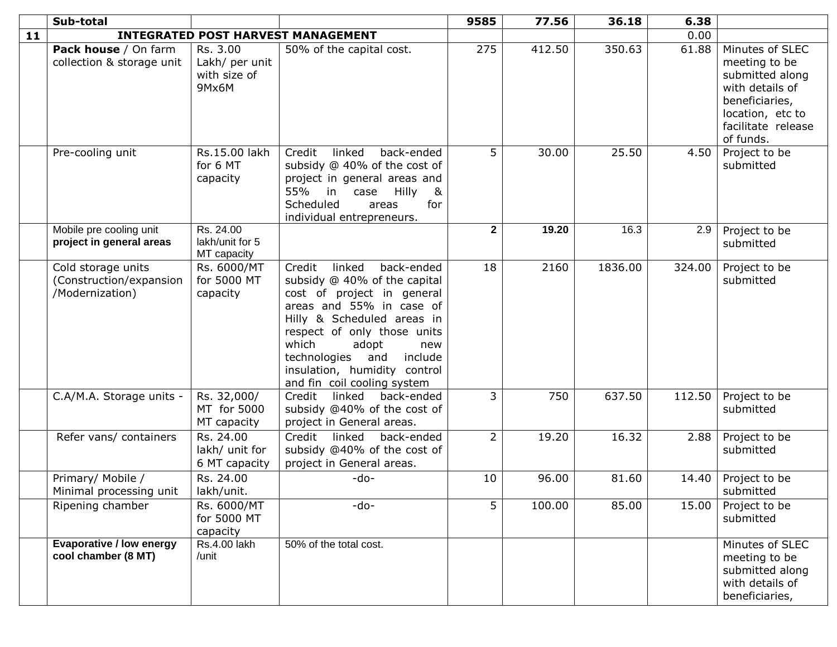|    | Sub-total                                                        |                                                     |                                                                                                                                                                                                                                                                                                                 | 9585           | 77.56  | 36.18   | 6.38   |                                                                                                                                                 |
|----|------------------------------------------------------------------|-----------------------------------------------------|-----------------------------------------------------------------------------------------------------------------------------------------------------------------------------------------------------------------------------------------------------------------------------------------------------------------|----------------|--------|---------|--------|-------------------------------------------------------------------------------------------------------------------------------------------------|
| 11 |                                                                  |                                                     | <b>INTEGRATED POST HARVEST MANAGEMENT</b>                                                                                                                                                                                                                                                                       |                |        |         | 0.00   |                                                                                                                                                 |
|    | Pack house / On farm<br>collection & storage unit                | Rs. 3.00<br>Lakh/ per unit<br>with size of<br>9Mx6M | 50% of the capital cost.                                                                                                                                                                                                                                                                                        | 275            | 412.50 | 350.63  | 61.88  | Minutes of SLEC<br>meeting to be<br>submitted along<br>with details of<br>beneficiaries,<br>location, etc to<br>facilitate release<br>of funds. |
|    | Pre-cooling unit                                                 | Rs.15.00 lakh<br>for 6 MT<br>capacity               | back-ended<br>Credit<br>linked<br>subsidy @ 40% of the cost of<br>project in general areas and<br>$\boldsymbol{\alpha}$<br>55% in case<br>Hilly<br>Scheduled<br>for<br>areas<br>individual entrepreneurs.                                                                                                       | 5              | 30.00  | 25.50   | 4.50   | Project to be<br>submitted                                                                                                                      |
|    | Mobile pre cooling unit<br>project in general areas              | Rs. 24.00<br>lakh/unit for 5<br>MT capacity         |                                                                                                                                                                                                                                                                                                                 | $\mathbf{2}$   | 19.20  | 16.3    | 2.9    | Project to be<br>submitted                                                                                                                      |
|    | Cold storage units<br>(Construction/expansion<br>/Modernization) | Rs. 6000/MT<br>for 5000 MT<br>capacity              | back-ended<br>Credit<br>linked<br>subsidy @ 40% of the capital<br>cost of project in general<br>areas and 55% in case of<br>Hilly & Scheduled areas in<br>respect of only those units<br>which<br>adopt<br>new<br>include<br>technologies<br>and<br>insulation, humidity control<br>and fin coil cooling system | 18             | 2160   | 1836.00 | 324.00 | Project to be<br>submitted                                                                                                                      |
|    | C.A/M.A. Storage units -                                         | Rs. 32,000/<br>MT for 5000<br>MT capacity           | linked<br>Credit<br>back-ended<br>subsidy @40% of the cost of<br>project in General areas.                                                                                                                                                                                                                      | $\mathsf{3}^-$ | 750    | 637.50  | 112.50 | Project to be<br>submitted                                                                                                                      |
|    | Refer vans/ containers                                           | Rs. 24.00<br>lakh/ unit for<br>6 MT capacity        | Credit<br>linked<br>back-ended<br>subsidy @40% of the cost of<br>project in General areas.                                                                                                                                                                                                                      | $\overline{2}$ | 19.20  | 16.32   | 2.88   | Project to be<br>submitted                                                                                                                      |
|    | Primary/ Mobile /<br>Minimal processing unit                     | Rs. 24.00<br>lakh/unit.                             | -do-                                                                                                                                                                                                                                                                                                            | 10             | 96.00  | 81.60   | 14.40  | Project to be<br>submitted                                                                                                                      |
|    | Ripening chamber                                                 | Rs. 6000/MT<br>for 5000 MT<br>capacity              | -do-                                                                                                                                                                                                                                                                                                            | 5              | 100.00 | 85.00   | 15.00  | Project to be<br>submitted                                                                                                                      |
|    | <b>Evaporative / low energy</b><br>cool chamber (8 MT)           | Rs.4.00 lakh<br>/unit                               | 50% of the total cost.                                                                                                                                                                                                                                                                                          |                |        |         |        | Minutes of SLEC<br>meeting to be<br>submitted along<br>with details of<br>beneficiaries,                                                        |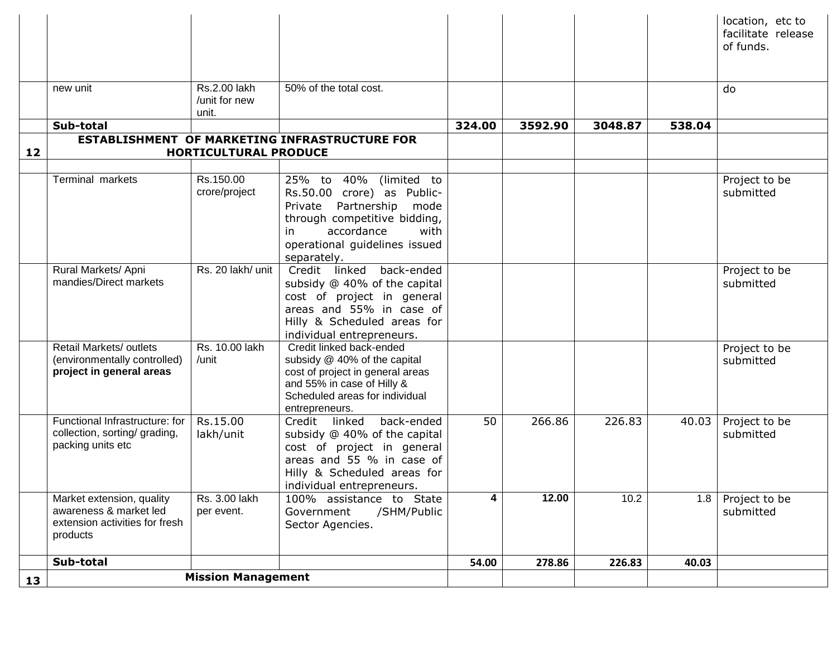|    |                                                                 |                           |                                                            |        |         |         |        | location, etc to<br>facilitate release |
|----|-----------------------------------------------------------------|---------------------------|------------------------------------------------------------|--------|---------|---------|--------|----------------------------------------|
|    |                                                                 |                           |                                                            |        |         |         |        | of funds.                              |
|    |                                                                 |                           |                                                            |        |         |         |        |                                        |
|    | new unit                                                        | Rs.2.00 lakh              | 50% of the total cost.                                     |        |         |         |        | do                                     |
|    |                                                                 | /unit for new             |                                                            |        |         |         |        |                                        |
|    |                                                                 | unit.                     |                                                            |        |         |         |        |                                        |
|    | Sub-total                                                       |                           | <b>ESTABLISHMENT OF MARKETING INFRASTRUCTURE FOR</b>       | 324.00 | 3592.90 | 3048.87 | 538.04 |                                        |
| 12 |                                                                 | HORTICULTURAL PRODUCE     |                                                            |        |         |         |        |                                        |
|    |                                                                 |                           |                                                            |        |         |         |        |                                        |
|    | Terminal markets                                                | Rs.150.00                 | 25% to 40% (limited to                                     |        |         |         |        | Project to be                          |
|    |                                                                 | crore/project             | Rs.50.00 crore) as Public-                                 |        |         |         |        | submitted                              |
|    |                                                                 |                           | Partnership<br>mode<br>Private                             |        |         |         |        |                                        |
|    |                                                                 |                           | through competitive bidding,                               |        |         |         |        |                                        |
|    |                                                                 |                           | accordance<br>with<br>in.                                  |        |         |         |        |                                        |
|    |                                                                 |                           | operational guidelines issued                              |        |         |         |        |                                        |
|    |                                                                 |                           | separately.                                                |        |         |         |        |                                        |
|    | Rural Markets/ Apni<br>mandies/Direct markets                   | Rs. 20 lakh/ unit         | Credit linked<br>back-ended                                |        |         |         |        | Project to be                          |
|    |                                                                 |                           | subsidy @ 40% of the capital                               |        |         |         |        | submitted                              |
|    |                                                                 |                           | cost of project in general<br>areas and 55% in case of     |        |         |         |        |                                        |
|    |                                                                 |                           | Hilly & Scheduled areas for                                |        |         |         |        |                                        |
|    |                                                                 |                           | individual entrepreneurs.                                  |        |         |         |        |                                        |
|    | Retail Markets/ outlets                                         | Rs. 10.00 lakh            | Credit linked back-ended                                   |        |         |         |        | Project to be                          |
|    | (environmentally controlled)                                    | /unit                     | subsidy @ 40% of the capital                               |        |         |         |        | submitted                              |
|    | project in general areas                                        |                           | cost of project in general areas                           |        |         |         |        |                                        |
|    |                                                                 |                           | and 55% in case of Hilly &                                 |        |         |         |        |                                        |
|    |                                                                 |                           | Scheduled areas for individual                             |        |         |         |        |                                        |
|    |                                                                 |                           | entrepreneurs.                                             |        |         |         |        |                                        |
|    | Functional Infrastructure: for<br>collection, sorting/ grading, | Rs.15.00                  | Credit linked<br>back-ended                                | 50     | 266.86  | 226.83  | 40.03  | Project to be                          |
|    | packing units etc                                               | lakh/unit                 | subsidy @ 40% of the capital<br>cost of project in general |        |         |         |        | submitted                              |
|    |                                                                 |                           | areas and 55 % in case of                                  |        |         |         |        |                                        |
|    |                                                                 |                           | Hilly & Scheduled areas for                                |        |         |         |        |                                        |
|    |                                                                 |                           | individual entrepreneurs.                                  |        |         |         |        |                                        |
|    | Market extension, quality                                       | Rs. 3.00 lakh             | 100% assistance to State                                   | 4      | 12.00   | 10.2    | 1.8    | Project to be                          |
|    | awareness & market led                                          | per event.                | /SHM/Public<br>Government                                  |        |         |         |        | submitted                              |
|    | extension activities for fresh                                  |                           | Sector Agencies.                                           |        |         |         |        |                                        |
|    | products                                                        |                           |                                                            |        |         |         |        |                                        |
|    | Sub-total                                                       |                           |                                                            | 54.00  | 278.86  | 226.83  | 40.03  |                                        |
|    |                                                                 | <b>Mission Management</b> |                                                            |        |         |         |        |                                        |
| 13 |                                                                 |                           |                                                            |        |         |         |        |                                        |